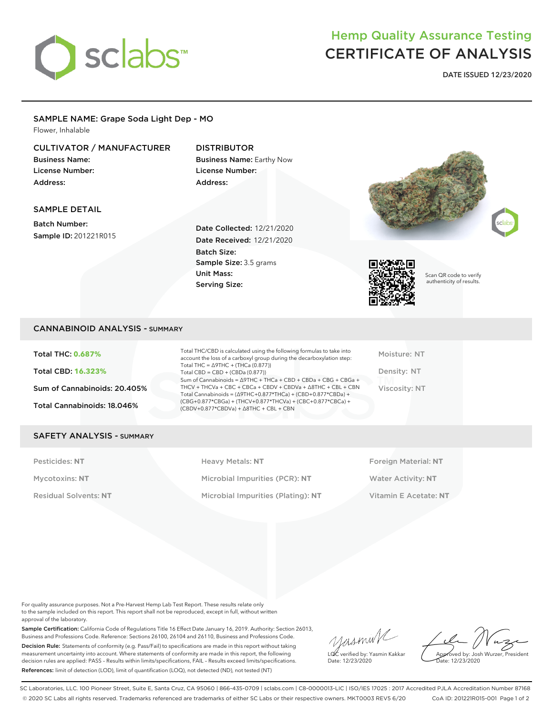

# Hemp Quality Assurance Testing CERTIFICATE OF ANALYSIS

**DATE ISSUED 12/23/2020**

#### SAMPLE NAME: Grape Soda Light Dep - MO Flower, Inhalable

# CULTIVATOR / MANUFACTURER

Business Name: License Number: Address:

# DISTRIBUTOR Business Name: Earthy Now

License Number: Address:

### SAMPLE DETAIL

Batch Number: Sample ID: 201221R015

Date Collected: 12/21/2020 Date Received: 12/21/2020 Batch Size: Sample Size: 3.5 grams Unit Mass: Serving Size:





Scan QR code to verify authenticity of results.

# CANNABINOID ANALYSIS - SUMMARY

Total THC: **0.687%** Total CBD: **16.323%** Sum of Cannabinoids: 20.405% Total Cannabinoids: 18.046%

Total THC/CBD is calculated using the following formulas to take into account the loss of a carboxyl group during the decarboxylation step: Total THC = ∆9THC + (THCa (0.877)) Total  $CBD = CBD + (CBDa (0.877))$ Sum of Cannabinoids = ∆9THC + THCa + CBD + CBDa + CBG + CBGa + THCV + THCVa + CBC + CBCa + CBDV + CBDVa + ∆8THC + CBL + CBN Total Cannabinoids = (∆9THC+0.877\*THCa) + (CBD+0.877\*CBDa) + (CBG+0.877\*CBGa) + (THCV+0.877\*THCVa) + (CBC+0.877\*CBCa) + (CBDV+0.877\*CBDVa) + ∆8THC + CBL + CBN

Moisture: NT Density: NT Viscosity: NT

#### SAFETY ANALYSIS - SUMMARY

Pesticides: **NT** Heavy Metals: **NT** Foreign Material: **NT** Mycotoxins: **NT** Microbial Impurities (PCR): **NT** Water Activity: **NT** Residual Solvents: **NT** Microbial Impurities (Plating): **NT** Vitamin E Acetate: **NT**

For quality assurance purposes. Not a Pre-Harvest Hemp Lab Test Report. These results relate only to the sample included on this report. This report shall not be reproduced, except in full, without written approval of the laboratory.

Sample Certification: California Code of Regulations Title 16 Effect Date January 16, 2019. Authority: Section 26013, Business and Professions Code. Reference: Sections 26100, 26104 and 26110, Business and Professions Code. Decision Rule: Statements of conformity (e.g. Pass/Fail) to specifications are made in this report without taking measurement uncertainty into account. Where statements of conformity are made in this report, the following decision rules are applied: PASS – Results within limits/specifications, FAIL – Results exceed limits/specifications. References: limit of detection (LOD), limit of quantification (LOQ), not detected (ND), not tested (NT)

yusmink LQC verified by: Yasmin Kakkar Date: 12/23/2020

Approved by: Josh Wurzer, President Date: 12/23/2020

SC Laboratories, LLC. 100 Pioneer Street, Suite E, Santa Cruz, CA 95060 | 866-435-0709 | sclabs.com | C8-0000013-LIC | ISO/IES 17025 : 2017 Accredited PJLA Accreditation Number 87168 © 2020 SC Labs all rights reserved. Trademarks referenced are trademarks of either SC Labs or their respective owners. MKT0003 REV5 6/20 CoA ID: 201221R015-001 Page 1 of 2